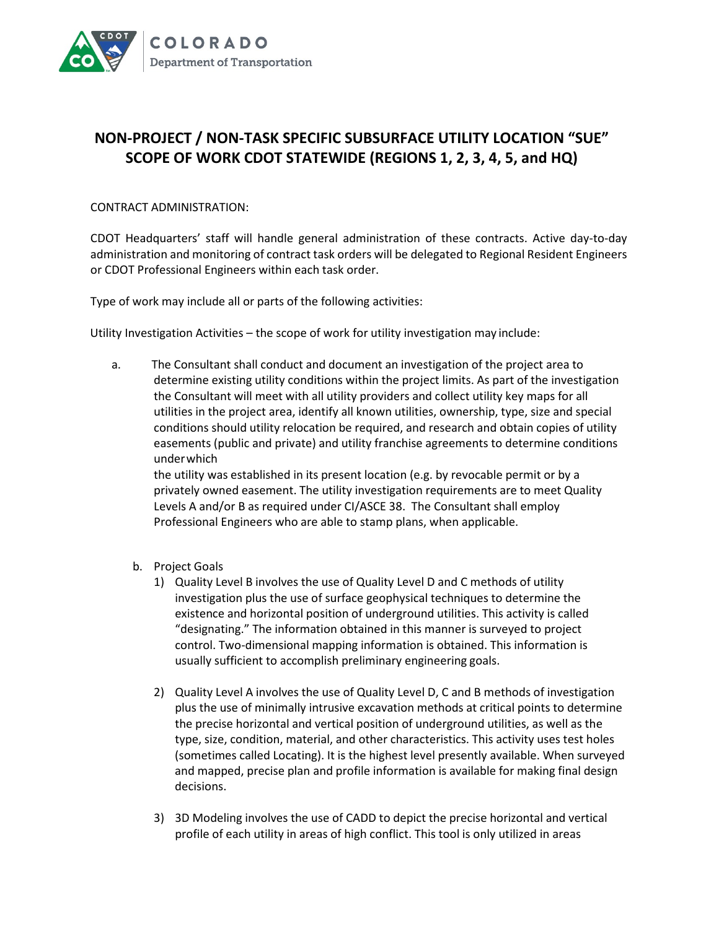

## **NON-PROJECT / NON-TASK SPECIFIC SUBSURFACE UTILITY LOCATION "SUE" SCOPE OF WORK CDOT STATEWIDE (REGIONS 1, 2, 3, 4, 5, and HQ)**

## CONTRACT ADMINISTRATION:

CDOT Headquarters' staff will handle general administration of these contracts. Active day-to-day administration and monitoring of contract task orders will be delegated to Regional Resident Engineers or CDOT Professional Engineers within each task order.

Type of work may include all or parts of the following activities:

Utility Investigation Activities – the scope of work for utility investigation may include:

a. The Consultant shall conduct and document an investigation of the project area to determine existing utility conditions within the project limits. As part of the investigation the Consultant will meet with all utility providers and collect utility key maps for all utilities in the project area, identify all known utilities, ownership, type, size and special conditions should utility relocation be required, and research and obtain copies of utility easements (public and private) and utility franchise agreements to determine conditions underwhich

the utility was established in its present location (e.g. by revocable permit or by a privately owned easement. The utility investigation requirements are to meet Quality Levels A and/or B as required under CI/ASCE 38. The Consultant shall employ Professional Engineers who are able to stamp plans, when applicable.

- b. Project Goals
	- 1) Quality Level B involves the use of Quality Level D and C methods of utility investigation plus the use of surface geophysical techniques to determine the existence and horizontal position of underground utilities. This activity is called "designating." The information obtained in this manner is surveyed to project control. Two-dimensional mapping information is obtained. This information is usually sufficient to accomplish preliminary engineering goals.
	- 2) Quality Level A involves the use of Quality Level D, C and B methods of investigation plus the use of minimally intrusive excavation methods at critical points to determine the precise horizontal and vertical position of underground utilities, as well as the type, size, condition, material, and other characteristics. This activity uses test holes (sometimes called Locating). It is the highest level presently available. When surveyed and mapped, precise plan and profile information is available for making final design decisions.
	- 3) 3D Modeling involves the use of CADD to depict the precise horizontal and vertical profile of each utility in areas of high conflict. This tool is only utilized in areas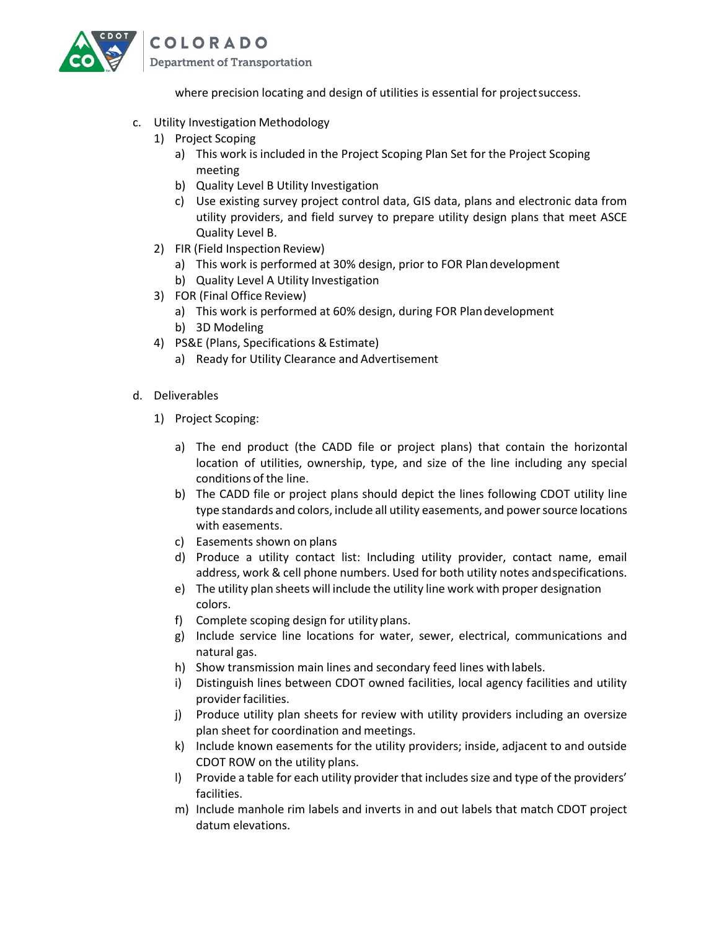

where precision locating and design of utilities is essential for project success.

- c. Utility Investigation Methodology
	- 1) Project Scoping
		- a) This work is included in the Project Scoping Plan Set for the Project Scoping meeting
		- b) Quality Level B Utility Investigation
		- c) Use existing survey project control data, GIS data, plans and electronic data from utility providers, and field survey to prepare utility design plans that meet ASCE Quality Level B.
	- 2) FIR (Field Inspection Review)
		- a) This work is performed at 30% design, prior to FOR Plandevelopment
		- b) Quality Level A Utility Investigation
	- 3) FOR (Final Office Review)
		- a) This work is performed at 60% design, during FOR Plandevelopment
		- b) 3D Modeling
	- 4) PS&E (Plans, Specifications & Estimate)
		- a) Ready for Utility Clearance and Advertisement
- d. Deliverables
	- 1) Project Scoping:
		- a) The end product (the CADD file or project plans) that contain the horizontal location of utilities, ownership, type, and size of the line including any special conditions of the line.
		- b) The CADD file or project plans should depict the lines following CDOT utility line type standards and colors, include all utility easements, and power source locations with easements.
		- c) Easements shown on plans
		- d) Produce a utility contact list: Including utility provider, contact name, email address, work & cell phone numbers. Used for both utility notes andspecifications.
		- e) The utility plan sheets will include the utility line work with proper designation colors.
		- f) Complete scoping design for utility plans.
		- g) Include service line locations for water, sewer, electrical, communications and natural gas.
		- h) Show transmission main lines and secondary feed lines with labels.
		- i) Distinguish lines between CDOT owned facilities, local agency facilities and utility provider facilities.
		- j) Produce utility plan sheets for review with utility providers including an oversize plan sheet for coordination and meetings.
		- k) Include known easements for the utility providers; inside, adjacent to and outside CDOT ROW on the utility plans.
		- l) Provide a table for each utility provider that includes size and type of the providers' facilities.
		- m) Include manhole rim labels and inverts in and out labels that match CDOT project datum elevations.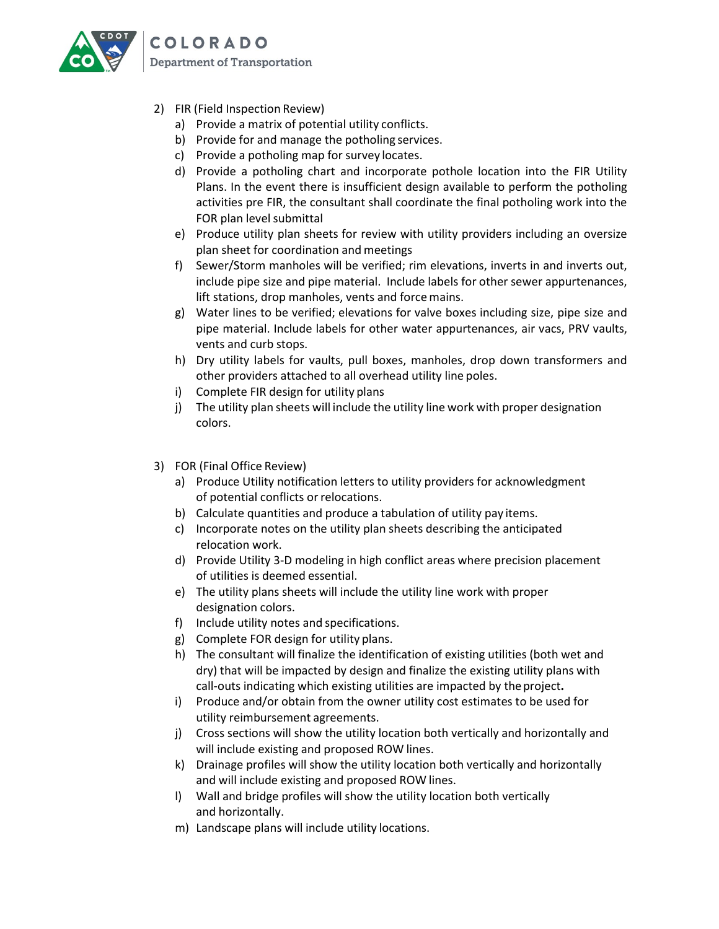

**COLORADO** Department of Transportation

- 2) FIR (Field Inspection Review)
	- a) Provide a matrix of potential utility conflicts.
	- b) Provide for and manage the potholing services.
	- c) Provide a potholing map for survey locates.
	- d) Provide a potholing chart and incorporate pothole location into the FIR Utility Plans. In the event there is insufficient design available to perform the potholing activities pre FIR, the consultant shall coordinate the final potholing work into the FOR plan level submittal
	- e) Produce utility plan sheets for review with utility providers including an oversize plan sheet for coordination and meetings
	- f) Sewer/Storm manholes will be verified; rim elevations, inverts in and inverts out, include pipe size and pipe material. Include labels for other sewer appurtenances, lift stations, drop manholes, vents and force mains.
	- g) Water lines to be verified; elevations for valve boxes including size, pipe size and pipe material. Include labels for other water appurtenances, air vacs, PRV vaults, vents and curb stops.
	- h) Dry utility labels for vaults, pull boxes, manholes, drop down transformers and other providers attached to all overhead utility line poles.
	- i) Complete FIR design for utility plans
	- j) The utility plan sheets will include the utility line work with proper designation colors.
- 3) FOR (Final Office Review)
	- a) Produce Utility notification letters to utility providers for acknowledgment of potential conflicts or relocations.
	- b) Calculate quantities and produce a tabulation of utility pay items.
	- c) Incorporate notes on the utility plan sheets describing the anticipated relocation work.
	- d) Provide Utility 3-D modeling in high conflict areas where precision placement of utilities is deemed essential.
	- e) The utility plans sheets will include the utility line work with proper designation colors.
	- f) Include utility notes and specifications.
	- g) Complete FOR design for utility plans.
	- h) The consultant will finalize the identification of existing utilities (both wet and dry) that will be impacted by design and finalize the existing utility plans with call-outs indicating which existing utilities are impacted by theproject**.**
	- i) Produce and/or obtain from the owner utility cost estimates to be used for utility reimbursement agreements.
	- j) Cross sections will show the utility location both vertically and horizontally and will include existing and proposed ROW lines.
	- k) Drainage profiles will show the utility location both vertically and horizontally and will include existing and proposed ROW lines.
	- l) Wall and bridge profiles will show the utility location both vertically and horizontally.
	- m) Landscape plans will include utility locations.